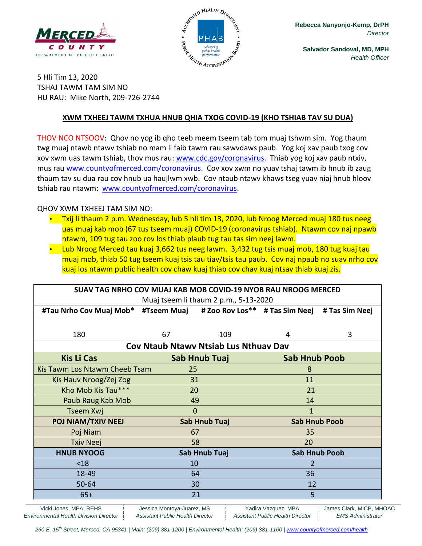



**Salvador Sandoval, MD, MPH** *Health Officer*

5 Hli Tim 13, 2020 TSHAJ TAWM TAM SIM NO HU RAU: Mike North, 209-726-2744

#### **XWM TXHEEJ TAWM TXHUA HNUB QHIA TXOG COVID-19 (KHO TSHIAB TAV SU DUA)**

THOV NCO NTSOOV: Qhov no yog ib qho teeb meem tseem tab tom muaj tshwm sim. Yog thaum twg muaj ntawb ntawv tshiab no mam li faib tawm rau sawvdaws paub. Yog koj xav paub txog cov xov xwm uas tawm tshiab, thov mus rau: [www.cdc.gov/coronavirus.](http://www.cdc.gov/coronavirus) Thiab yog koj xav paub ntxiv, mus rau [www.countyofmerced.com/coronavirus.](http://www.countyofmerced.com/coronavirus) Cov xov xwm no yuav tshaj tawm ib hnub ib zaug thaum tav su dua rau cov hnub ua haujlwm xwb. Cov ntaub ntawv khaws tseg yuav niaj hnub hloov tshiab rau ntawm: [www.countyofmerced.com/coronavirus.](http://www.countyofmerced.com/coronavirus)

#### QHOV XWM TXHEEJ TAM SIM NO:

- Txij li thaum 2 p.m. Wednesday, lub 5 hli tim 13, 2020, lub Nroog Merced muaj 180 tus neeg uas muaj kab mob (67 tus tseem muaj) COVID-19 (coronavirus tshiab). Ntawm cov naj npawb ntawm, 109 tug tau zoo rov los thiab plaub tug tau tas sim neej lawm.
- Lub Nroog Merced tau kuaj 3,662 tus neeg lawm. 3,432 tug tsis muaj mob, 180 tug kuaj tau muaj mob, thiab 50 tug tseem kuaj tsis tau tiav/tsis tau paub. Cov naj npaub no suav nrho cov kuaj los ntawm public health cov chaw kuaj thiab cov chav kuaj ntsav thiab kuaj zis.

| SUAV TAG NRHO COV MUAJ KAB MOB COVID-19 NYOB RAU NROOG MERCED<br>Muaj tseem li thaum 2 p.m., 5-13-2020 |               |               |                      |                      |  |
|--------------------------------------------------------------------------------------------------------|---------------|---------------|----------------------|----------------------|--|
| #Tau Nrho Cov Muaj Mob* #Tseem Muaj #Zoo Rov Los** #Tas Sim Neej #Tas Sim Neej                         |               |               |                      |                      |  |
|                                                                                                        |               |               |                      |                      |  |
| 180                                                                                                    | 67            | 109           | 4                    | 3                    |  |
| Cov Ntaub Ntawy Ntsiab Lus Nthuay Dav                                                                  |               |               |                      |                      |  |
| <b>Kis Li Cas</b>                                                                                      | Sab Hnub Tuaj |               | <b>Sab Hnub Poob</b> |                      |  |
| Kis Tawm Los Ntawm Cheeb Tsam                                                                          | 25            |               | 8                    |                      |  |
| Kis Hauv Nroog/Zej Zog                                                                                 | 31            |               | 11                   |                      |  |
| Kho Mob Kis Tau***                                                                                     | 20            |               | 21                   |                      |  |
| Paub Raug Kab Mob                                                                                      | 49            |               | 14                   |                      |  |
| <b>Tseem Xwj</b>                                                                                       | $\Omega$      |               | 1                    |                      |  |
| POJ NIAM/TXIV NEEJ                                                                                     |               | Sab Hnub Tuaj |                      | <b>Sab Hnub Poob</b> |  |
| Poj Niam                                                                                               |               | 67            |                      | 35                   |  |
| <b>Txiv Neej</b>                                                                                       | 58            |               | 20                   |                      |  |
| <b>HNUB NYOOG</b>                                                                                      |               | Sab Hnub Tuaj |                      | <b>Sab Hnub Poob</b> |  |
| $18$                                                                                                   |               | 10            |                      |                      |  |
| 18-49                                                                                                  |               | 64            |                      | 36                   |  |
| 50-64                                                                                                  | 30            |               | 12                   |                      |  |
| $65+$                                                                                                  |               | 21            | 5                    |                      |  |

Vicki Jones, MPA, REHS **Jessica Montoya-Juarez, MS** | Yadira Vazquez, MBA | James Clark, MICP, MHOAC *Environmental Health Division Director Assistant Public Health Director Assistant Public Health Director EMS Administrator*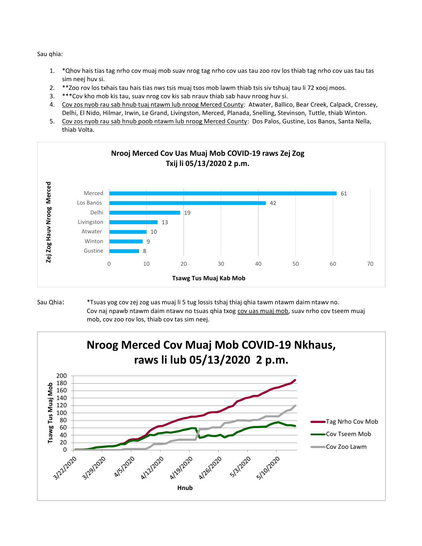Sau qhia:

- 1. \*Qhov hais tias tag nrho cov muaj mob suav nrog tag nrho cov uas tau zoo rov los thiab tag nrho cov uas tau tas sim neej huv si.
- 2. \*\*Zoo rov los txhais tau hais tias nws tsis muaj tsos mob lawm thiab tsis siv tshuaj tau li 72 xooj moos.
- 3. \*\*\*Cov kho mob kis tau, suav nrog cov kis sab nrauv thiab sab hauv nroog huv si.
- 4. Cov zos nyob rau sab hnub tuaj ntawm lub nroog Merced County: Atwater, Ballico, Bear Creek, Calpack, Cressey, Delhi, El Nido, Hilmar, Irwin, Le Grand, Livingston, Merced, Planada, Snelling, Stevinson, Tuttle, thiab Winton.
- 5. Cov zos nyob rau sab hnub poob ntawm lub nroog Merced County: Dos Palos, Gustine, Los Banos, Santa Nella, thiab Volta.



#### Sau Qhia: \*Tsuas yog cov zej zog uas muaj li 5 tug lossis tshaj thiaj qhia tawm ntawm daim ntawv no. Cov naj npawb ntawm daim ntawv no tsuas qhia txog cov uas muaj mob, suav nrho cov tseem muaj mob, cov zoo rov los, thiab cov tas sim neej.

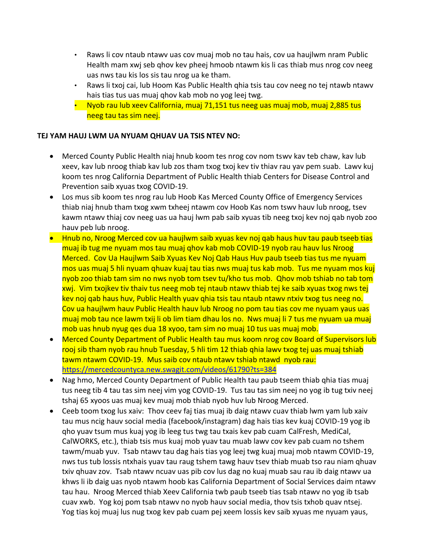- Raws li cov ntaub ntawv uas cov muaj mob no tau hais, cov ua haujlwm nram Public Health mam xwj seb qhov kev pheej hmoob ntawm kis li cas thiab mus nrog cov neeg uas nws tau kis los sis tau nrog ua ke tham.
- Raws li txoj cai, lub Hoom Kas Public Health qhia tsis tau cov neeg no tej ntawb ntawv hais tias tus uas muaj qhov kab mob no yog leej twg.
- Nyob rau lub xeev California, muaj 71,151 tus neeg uas muaj mob, muaj 2,885 tus neeg tau tas sim neej.

### **TEJ YAM HAUJ LWM UA NYUAM QHUAV UA TSIS NTEV NO:**

- Merced County Public Health niaj hnub koom tes nrog cov nom tswv kav teb chaw, kav lub xeev, kav lub nroog thiab kav lub zos tham txog txoj kev tiv thiav rau yav pem suab. Lawv kuj koom tes nrog California Department of Public Health thiab Centers for Disease Control and Prevention saib xyuas txog COVID-19.
- Los mus sib koom tes nrog rau lub Hoob Kas Merced County Office of Emergency Services thiab niaj hnub tham txog xwm txheej ntawm cov Hoob Kas nom tswv hauv lub nroog, tsev kawm ntawv thiaj cov neeg uas ua hauj lwm pab saib xyuas tib neeg txoj kev noj qab nyob zoo hauv peb lub nroog.
- Hnub no, Nroog Merced cov ua haujlwm saib xyuas kev noj qab haus huv tau paub tseeb tias muaj ib tug me nyuam mos tau muaj qhov kab mob COVID-19 nyob rau hauv lus Nroog Merced. Cov Ua Haujlwm Saib Xyuas Kev Noj Qab Haus Huv paub tseeb tias tus me nyuam mos uas muaj 5 hli nyuam qhuav kuaj tau tias nws muaj tus kab mob. Tus me nyuam mos kuj nyob zoo thiab tam sim no nws nyob tom tsev tu/kho tus mob. Qhov mob tshiab no tab tom xwj. Vim txojkev tiv thaiv tus neeg mob tej ntaub ntawv thiab tej ke saib xyuas txog nws tej kev noj qab haus huv, Public Health yuav qhia tsis tau ntaub ntawv ntxiv txog tus neeg no. Cov ua haujlwm hauv Public Health hauv lub Nroog no pom tau tias cov me nyuam yaus uas muaj mob tau nce lawm txij li ob lim tiam dhau los no. Nws muaj li 7 tus me nyuam ua muaj mob uas hnub nyug qes dua 18 xyoo, tam sim no muaj 10 tus uas muaj mob.
- Merced County Department of Public Health tau mus koom nrog cov Board of Supervisors lub rooj sib tham nyob rau hnub Tuesday, 5 hli tim 12 thiab qhia lawv txog tej uas muaj tshiab tawm ntawm COVID-19. Mus saib cov ntaub ntawv tshiab ntawd nyob rau: <https://mercedcountyca.new.swagit.com/videos/61790?ts=384>
- Nag hmo, Merced County Department of Public Health tau paub tseem thiab qhia tias muaj tus neeg tib 4 tau tas sim neej vim yog COVID-19. Tus tau tas sim neej no yog ib tug txiv neej tshaj 65 xyoos uas muaj kev muaj mob thiab nyob huv lub Nroog Merced.
- Ceeb toom txog lus xaiv: Thov ceev faj tias muaj ib daig ntawv cuav thiab lwm yam lub xaiv tau mus ncig hauv social media (facebook/instagram) dag hais tias kev kuaj COVID-19 yog ib qho yuav tsum mus kuaj yog ib leeg tus twg tau txais kev pab cuam CalFresh, MediCal, CalWORKS, etc.), thiab tsis mus kuaj mob yuav tau muab lawv cov kev pab cuam no tshem tawm/muab yuv. Tsab ntawv tau dag hais tias yog leej twg kuaj muaj mob ntawm COVID-19, nws tus tub lossis ntxhais yuav tau raug tshem tawg hauv tsev thiab muab tso rau niam qhuav txiv qhuav zov. Tsab ntawv ncuav uas pib cov lus dag no kuaj muab sau rau ib daig ntawv ua khws li ib daig uas nyob ntawm hoob kas California Department of Social Services daim ntawv tau hau. Nroog Merced thiab Xeev California twb paub tseeb tias tsab ntawv no yog ib tsab cuav xwb. Yog koj pom tsab ntawv no nyob hauv social media, thov tsis txhob quav ntsej. Yog tias koj muaj lus nug txog kev pab cuam pej xeem lossis kev saib xyuas me nyuam yaus,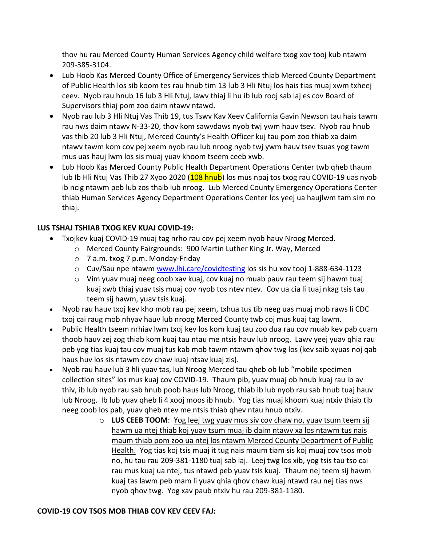thov hu rau Merced County Human Services Agency child welfare txog xov tooj kub ntawm 209-385-3104.

- Lub Hoob Kas Merced County Office of Emergency Services thiab Merced County Department of Public Health los sib koom tes rau hnub tim 13 lub 3 Hli Ntuj los hais tias muaj xwm txheej ceev. Nyob rau hnub 16 lub 3 Hli Ntuj, lawv thiaj li hu ib lub rooj sab laj es cov Board of Supervisors thiaj pom zoo daim ntawv ntawd.
- Nyob rau lub 3 Hli Ntuj Vas Thib 19, tus Tswv Kav Xeev California Gavin Newson tau hais tawm rau nws daim ntawv N-33-20, thov kom sawvdaws nyob twj ywm hauv tsev. Nyob rau hnub vas thib 20 lub 3 Hli Ntuj, Merced County's Health Officer kuj tau pom zoo thiab xa daim ntawv tawm kom cov pej xeem nyob rau lub nroog nyob twj ywm hauv tsev tsuas yog tawm mus uas hauj lwm los sis muaj yuav khoom tseem ceeb xwb.
- Lub Hoob Kas Merced County Public Health Department Operations Center twb qheb thaum lub Ib Hli Ntuj Vas Thib 27 Xyoo 2020 (108 hnub) los mus npaj tos txog rau COVID-19 uas nyob ib ncig ntawm peb lub zos thaib lub nroog. Lub Merced County Emergency Operations Center thiab Human Services Agency Department Operations Center los yeej ua haujlwm tam sim no thiaj.

# **LUS TSHAJ TSHIAB TXOG KEV KUAJ COVID-19:**

- Txojkev kuaj COVID-19 muaj tag nrho rau cov pej xeem nyob hauv Nroog Merced.
	- o Merced County Fairgrounds: 900 Martin Luther King Jr. Way, Merced
	- o 7 a.m. txog 7 p.m. Monday-Friday
	- o Cuv/Sau npe ntawm [www.lhi.care/covidtesting](http://www.lhi.care/covidtesting) los sis hu xov tooj 1-888-634-1123
	- o Vim yuav muaj neeg coob xav kuaj, cov kuaj no muab pauv rau teem sij hawm tuaj kuaj xwb thiaj yuav tsis muaj cov nyob tos ntev ntev. Cov ua cia li tuaj nkag tsis tau teem sij hawm, yuav tsis kuaj.
- Nyob rau hauv txoj kev kho mob rau pej xeem, txhua tus tib neeg uas muaj mob raws li CDC txoj cai raug mob nhyav hauv lub nroog Merced County twb coj mus kuaj tag lawm.
- Public Health tseem nrhiav lwm txoj kev los kom kuaj tau zoo dua rau cov muab kev pab cuam thoob hauv zej zog thiab kom kuaj tau ntau me ntsis hauv lub nroog. Lawv yeej yuav qhia rau peb yog tias kuaj tau cov muaj tus kab mob tawm ntawm qhov twg los (kev saib xyuas noj qab haus huv los sis ntawm cov chaw kuaj ntsav kuaj zis).
- Nyob rau hauv lub 3 hli yuav tas, lub Nroog Merced tau qheb ob lub "mobile specimen collection sites" los mus kuaj cov COVID-19. Thaum pib, yuav muaj ob hnub kuaj rau ib av thiv, ib lub nyob rau sab hnub poob haus lub Nroog, thiab ib lub nyob rau sab hnub tuaj hauv lub Nroog. Ib lub yuav qheb li 4 xooj moos ib hnub. Yog tias muaj khoom kuaj ntxiv thiab tib neeg coob los pab, yuav qheb ntev me ntsis thiab qhev ntau hnub ntxiv.
	- o **LUS CEEB TOOM**: Yog leej twg yuav mus siv cov chaw no, yuav tsum teem sij hawm ua ntej thiab koj yuav tsum muaj ib daim ntawv xa los ntawm tus nais maum thiab pom zoo ua ntej los ntawm Merced County Department of Public Health. Yog tias koj tsis muaj it tug nais maum tiam sis koj muaj cov tsos mob no, hu tau rau 209-381-1180 tuaj sab laj. Leej twg los xib, yog tsis tau tso cai rau mus kuaj ua ntej, tus ntawd peb yuav tsis kuaj. Thaum nej teem sij hawm kuaj tas lawm peb mam li yuav qhia qhov chaw kuaj ntawd rau nej tias nws nyob qhov twg. Yog xav paub ntxiv hu rau 209-381-1180.

## **COVID-19 COV TSOS MOB THIAB COV KEV CEEV FAJ:**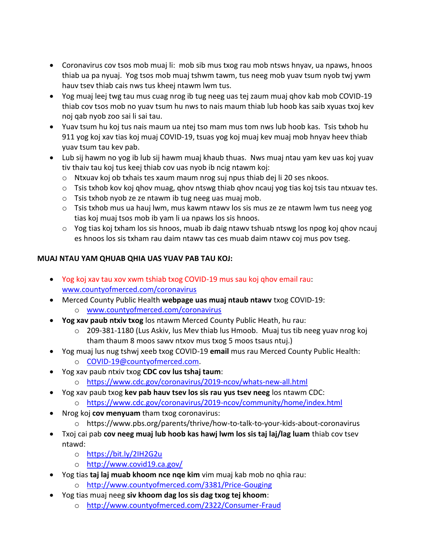- Coronavirus cov tsos mob muaj li: mob sib mus txog rau mob ntsws hnyav, ua npaws, hnoos thiab ua pa nyuaj. Yog tsos mob muaj tshwm tawm, tus neeg mob yuav tsum nyob twj ywm hauv tsev thiab cais nws tus kheej ntawm lwm tus.
- Yog muaj leej twg tau mus cuag nrog ib tug neeg uas tej zaum muaj qhov kab mob COVID-19 thiab cov tsos mob no yuav tsum hu nws to nais maum thiab lub hoob kas saib xyuas txoj kev noj qab nyob zoo sai li sai tau.
- Yuav tsum hu koj tus nais maum ua ntej tso mam mus tom nws lub hoob kas. Tsis txhob hu 911 yog koj xav tias koj muaj COVID-19, tsuas yog koj muaj kev muaj mob hnyav heev thiab yuav tsum tau kev pab.
- Lub sij hawm no yog ib lub sij hawm muaj khaub thuas. Nws muaj ntau yam kev uas koj yuav tiv thaiv tau koj tus keej thiab cov uas nyob ib ncig ntawm koj:
	- o Ntxuav koj ob txhais tes xaum maum nrog suj npus thiab dej li 20 ses nkoos.
	- $\circ$  Tsis txhob kov koj qhov muag, qhov ntswg thiab qhov ncauj yog tias koj tsis tau ntxuav tes.
	- o Tsis txhob nyob ze ze ntawm ib tug neeg uas muaj mob.
	- o Tsis txhob mus ua hauj lwm, mus kawm ntawv los sis mus ze ze ntawm lwm tus neeg yog tias koj muaj tsos mob ib yam li ua npaws los sis hnoos.
	- $\circ$  Yog tias koj txham los sis hnoos, muab ib daig ntawv tshuab ntswg los npog koj qhov ncauj es hnoos los sis txham rau daim ntawv tas ces muab daim ntawv coj mus pov tseg.

### **MUAJ NTAU YAM QHUAB QHIA UAS YUAV PAB TAU KOJ:**

- Yog koj xav tau xov xwm tshiab txog COVID-19 mus sau koj qhov email rau: [www.countyofmerced.com/coronavirus](http://www.countyofmerced.com/coronavirus)
- Merced County Public Health **webpage uas muaj ntaub ntawv** txog COVID-19:
	- o [www.countyofmerced.com/coronavirus](http://www.countyofmerced.com/coronavirus)
- **Yog xav paub ntxiv txog** los ntawm Merced County Public Heath, hu rau:
	- $\circ$  209-381-1180 (Lus Askiv, lus Mev thiab lus Hmoob. Muaj tus tib neeg yuav nrog koj tham thaum 8 moos sawv ntxov mus txog 5 moos tsaus ntuj.)
- Yog muaj lus nug tshwj xeeb txog COVID-19 **email** mus rau Merced County Public Health: o [COVID-19@countyofmerced.com.](mailto:COVID-19@countyofmerced.com)
- Yog xav paub ntxiv txog **CDC cov lus tshaj taum**:
	- o <https://www.cdc.gov/coronavirus/2019-ncov/whats-new-all.html>
- Yog xav paub txog **kev pab hauv tsev los sis rau yus tsev neeg** los ntawm CDC:
	- o <https://www.cdc.gov/coronavirus/2019-ncov/community/home/index.html>
- Nrog koj **cov menyuam** tham txog coronavirus:
	- o https://www.pbs.org/parents/thrive/how-to-talk-to-your-kids-about-coronavirus
- Txoj cai pab **cov neeg muaj lub hoob kas hawj lwm los sis taj laj/lag luam** thiab cov tsev ntawd:
	- o <https://bit.ly/2IH2G2u>
	- o <http://www.covid19.ca.gov/>
- Yog tias **taj laj muab khoom nce nqe kim** vim muaj kab mob no qhia rau:
	- o <http://www.countyofmerced.com/3381/Price-Gouging>
- Yog tias muaj neeg **siv khoom dag los sis dag txog tej khoom**:
	- o <http://www.countyofmerced.com/2322/Consumer-Fraud>